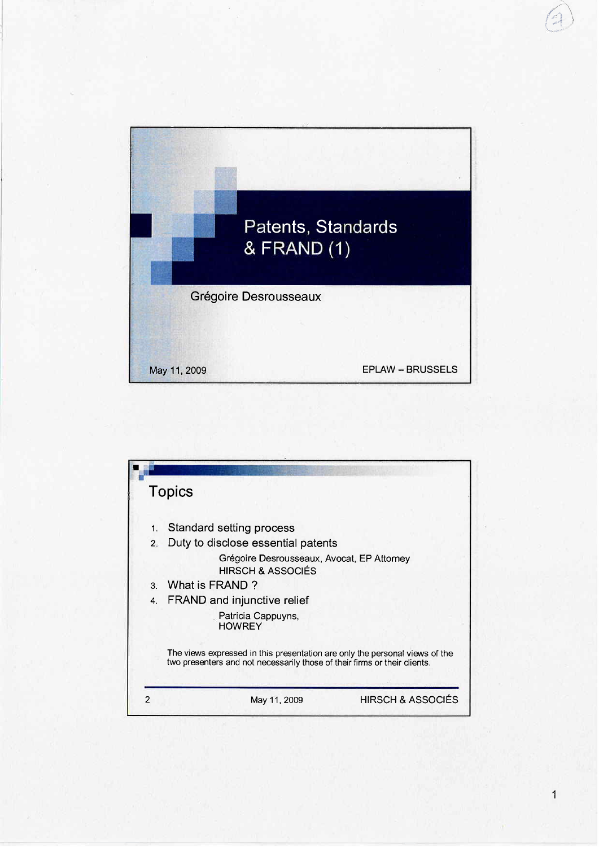



 $\overline{1}$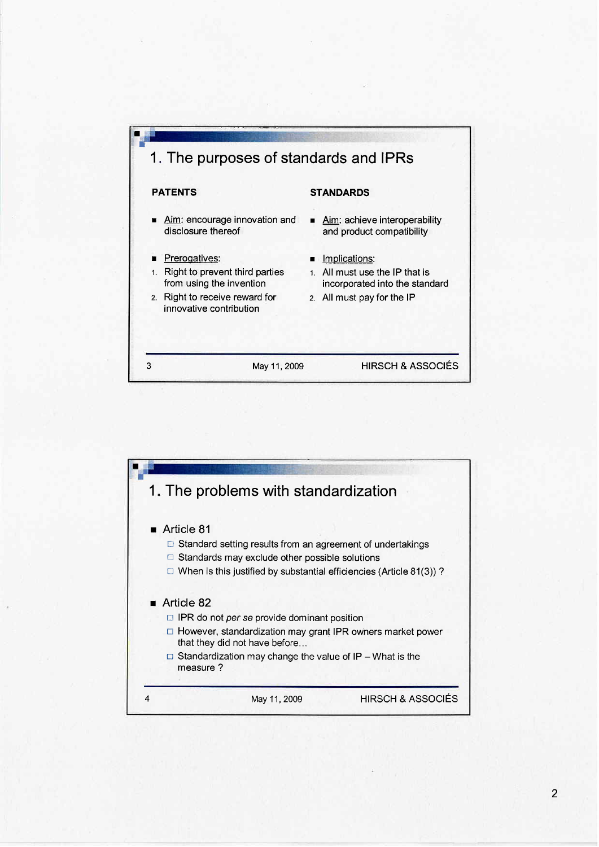

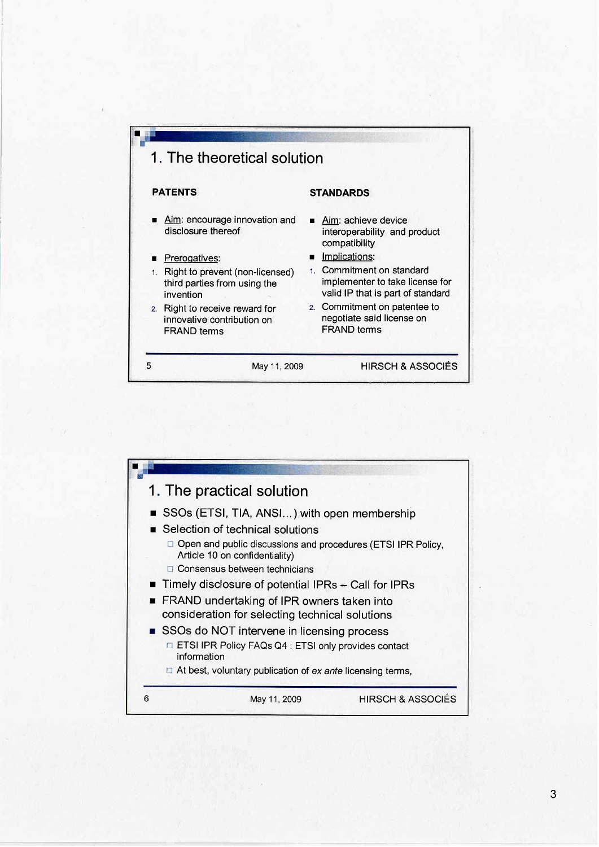

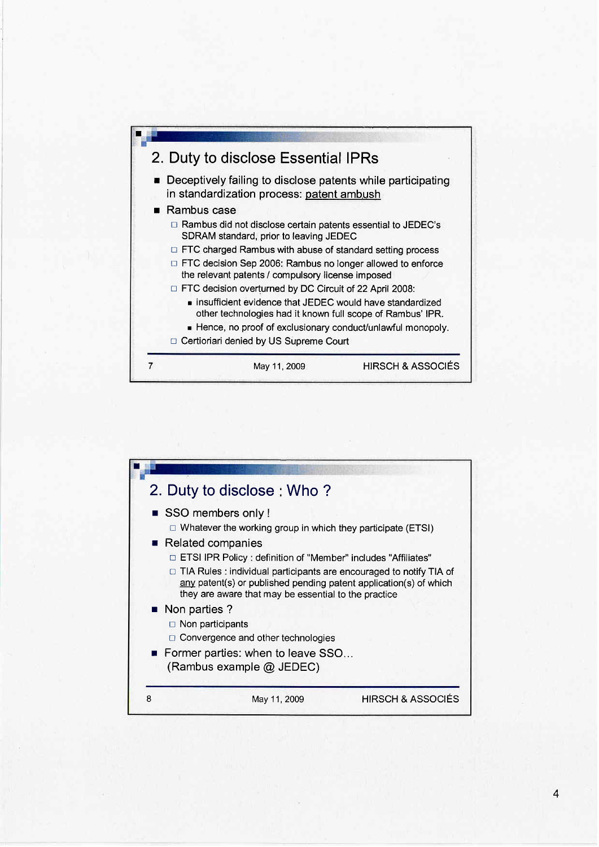

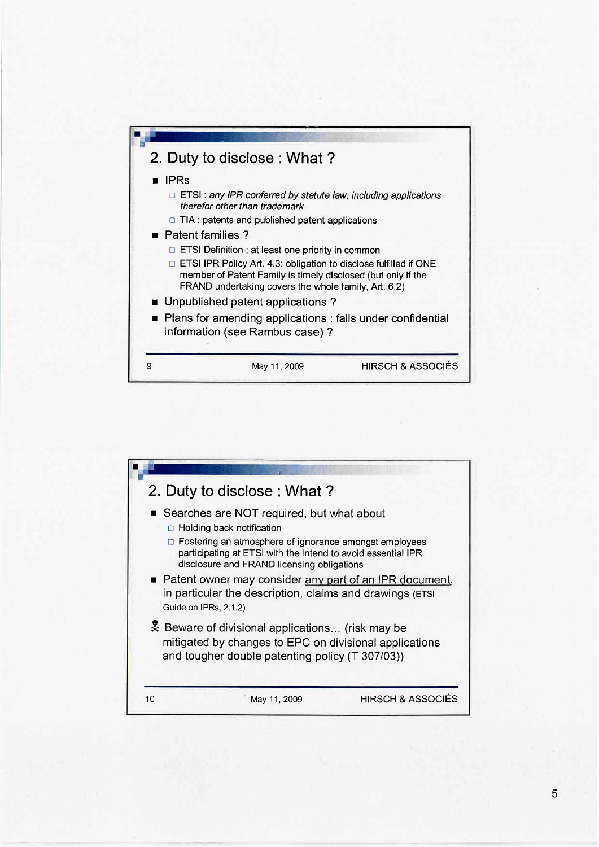

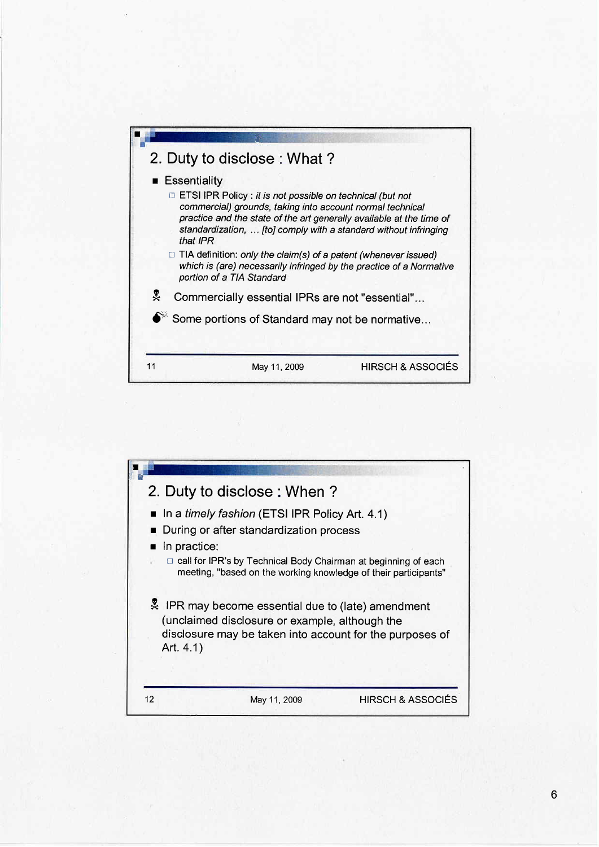